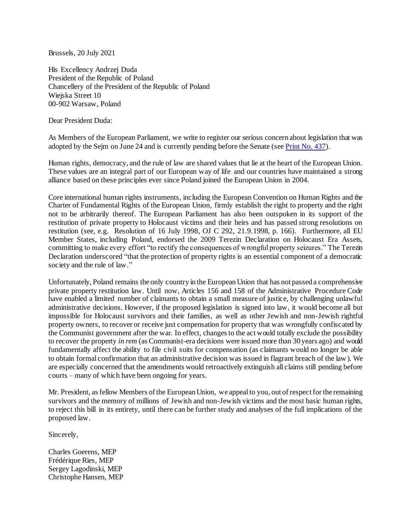Brussels, 20 July 2021

His Excellency Andrzej Duda President of the Republic of Poland Chancellery of the President of the Republic of Poland Wiejska Street 10 00-902 Warsaw, Poland

Dear President Duda:

As Members of the European Parliament, we write to register our serious concern about legislation that was adopted by the Sejm on June 24 and is currently pending before the Senate (se[e Print No. 437\)](https://www.senat.gov.pl/download/gfx/senat/pl/senatdruki/11527/druk/437.pdf).

Human rights, democracy, and the rule of law are shared values that lie at the heart of the European Union. These values are an integral part of our European way of life and our countries have maintained a strong alliance based on these principles ever since Poland joined the European Union in 2004.

Core international human rights instruments, including the European Convention on Human Rights and the Charter of Fundamental Rights of the European Union, firmly establish the right to property and the right not to be arbitrarily thereof. The European Parliament has also been outspoken in its support of the restitution of private property to Holocaust victims and their heirs and has passed strong resolutions on restitution (see, e.g. Resolution of 16 July 1998, OJ C 292, 21.9.1998, p. 166). Furthermore, all EU Member States, including Poland, endorsed the 2009 Terezin Declaration on Holocaust Era Assets, committing to make every effort "to rectify the consequences of wrongful property seizures." The Terezin Declaration underscored "that the protection of property rights is an essential component of a democratic society and the rule of law."

Unfortunately, Poland remains the only country in the European Union that has not passed a comprehensive private property restitution law. Until now, Articles 156 and 158 of the Administrative Procedure Code have enabled a limited number of claimants to obtain a small measure of justice, by challenging unlawful administrative decisions. However, if the proposed legislation is signed into law, it would become all but impossible for Holocaust survivors and their families, as well as other Jewish and non-Jewish rightful property owners, to recover or receive just compensation for property that was wrongfully confiscated by the Communist government after the war. In effect, changes to the act would totally exclude the possibility to recover the property *in rem* (as Communist-era decisions were issued more than 30 years ago) and would fundamentally affect the ability to file civil suits for compensation (as claimants would no longer be able to obtain formal confirmation that an administrative decision was issued in flagrant breach of the law). We are especially concerned that the amendments would retroactively extinguish all claims still pending before courts – many of which have been ongoing for years.

Mr. President, as fellow Members of the European Union, we appeal to you, out of respect for the remaining survivors and the memory of millions of Jewish and non-Jewish victims and the most basic human rights, to reject this bill in its entirety, until there can be further study and analyses of the full implications of the proposed law.

Sincerely,

Charles Goerens, MEP Frédérique Ries, MEP Sergey Lagodinski, MEP Christophe Hansen, MEP